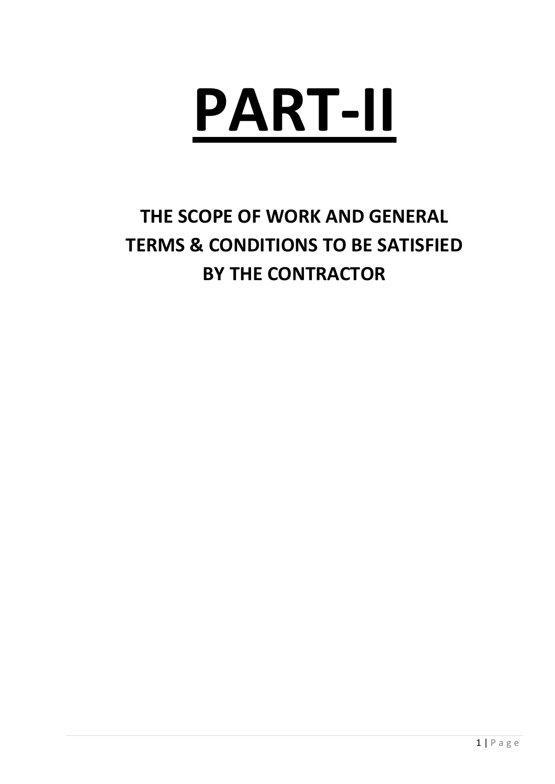

# **THE SCOPE OF WORK AND GENERAL TERMS & CONDITIONS TO BE SATISFIED BY THE CONTRACTOR**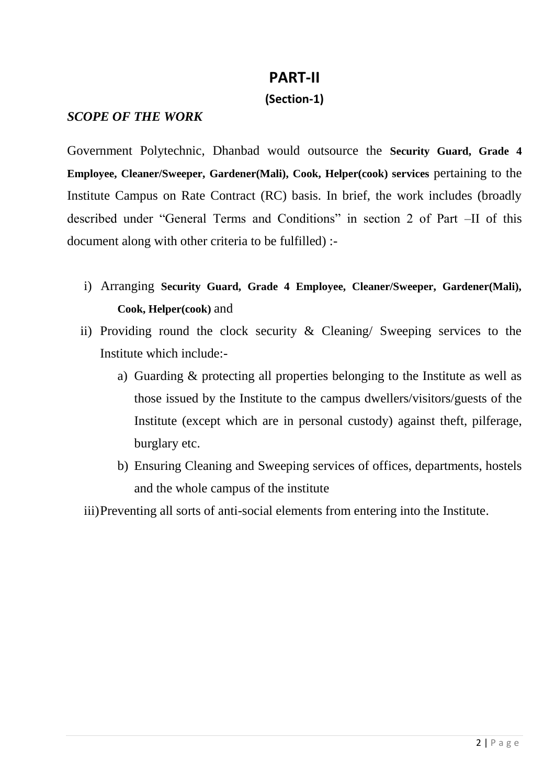# **PART-II**

## **(Section-1)**

#### *SCOPE OF THE WORK*

Government Polytechnic, Dhanbad would outsource the **Security Guard, Grade 4 Employee, Cleaner/Sweeper, Gardener(Mali), Cook, Helper(cook) services** pertaining to the Institute Campus on Rate Contract (RC) basis. In brief, the work includes (broadly described under "General Terms and Conditions" in section 2 of Part –II of this document along with other criteria to be fulfilled) :-

- i) Arranging **Security Guard, Grade 4 Employee, Cleaner/Sweeper, Gardener(Mali), Cook, Helper(cook)** and
- ii) Providing round the clock security & Cleaning/ Sweeping services to the Institute which include:
	- a) Guarding & protecting all properties belonging to the Institute as well as those issued by the Institute to the campus dwellers/visitors/guests of the Institute (except which are in personal custody) against theft, pilferage, burglary etc.
	- b) Ensuring Cleaning and Sweeping services of offices, departments, hostels and the whole campus of the institute

iii)Preventing all sorts of anti-social elements from entering into the Institute.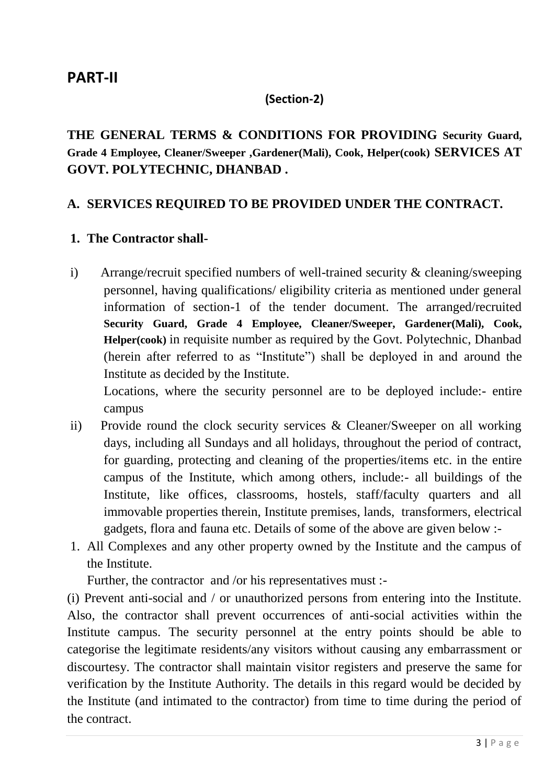## **PART-II**

#### **(Section-2)**

**THE GENERAL TERMS & CONDITIONS FOR PROVIDING Security Guard, Grade 4 Employee, Cleaner/Sweeper ,Gardener(Mali), Cook, Helper(cook) SERVICES AT GOVT. POLYTECHNIC, DHANBAD .**

## **A. SERVICES REQUIRED TO BE PROVIDED UNDER THE CONTRACT.**

#### **1. The Contractor shall-**

i) Arrange/recruit specified numbers of well-trained security & cleaning/sweeping personnel, having qualifications/ eligibility criteria as mentioned under general information of section-1 of the tender document. The arranged/recruited **Security Guard, Grade 4 Employee, Cleaner/Sweeper, Gardener(Mali), Cook, Helper(cook)** in requisite number as required by the Govt. Polytechnic, Dhanbad (herein after referred to as "Institute") shall be deployed in and around the Institute as decided by the Institute.

Locations, where the security personnel are to be deployed include:- entire campus

- ii) Provide round the clock security services & Cleaner/Sweeper on all working days, including all Sundays and all holidays, throughout the period of contract, for guarding, protecting and cleaning of the properties/items etc. in the entire campus of the Institute, which among others, include:- all buildings of the Institute, like offices, classrooms, hostels, staff/faculty quarters and all immovable properties therein, Institute premises, lands, transformers, electrical gadgets, flora and fauna etc. Details of some of the above are given below :-
- 1. All Complexes and any other property owned by the Institute and the campus of the Institute.

Further, the contractor and /or his representatives must :-

(i) Prevent anti-social and / or unauthorized persons from entering into the Institute. Also, the contractor shall prevent occurrences of anti-social activities within the Institute campus. The security personnel at the entry points should be able to categorise the legitimate residents/any visitors without causing any embarrassment or discourtesy. The contractor shall maintain visitor registers and preserve the same for verification by the Institute Authority. The details in this regard would be decided by the Institute (and intimated to the contractor) from time to time during the period of the contract.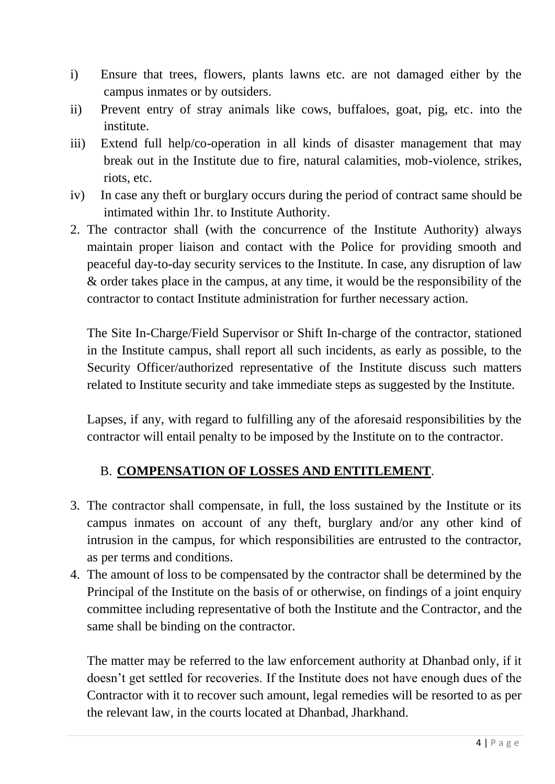- i) Ensure that trees, flowers, plants lawns etc. are not damaged either by the campus inmates or by outsiders.
- ii) Prevent entry of stray animals like cows, buffaloes, goat, pig, etc. into the institute.
- iii) Extend full help/co-operation in all kinds of disaster management that may break out in the Institute due to fire, natural calamities, mob-violence, strikes, riots, etc.
- iv) In case any theft or burglary occurs during the period of contract same should be intimated within 1hr. to Institute Authority.
- 2. The contractor shall (with the concurrence of the Institute Authority) always maintain proper liaison and contact with the Police for providing smooth and peaceful day-to-day security services to the Institute. In case, any disruption of law & order takes place in the campus, at any time, it would be the responsibility of the contractor to contact Institute administration for further necessary action.

The Site In-Charge/Field Supervisor or Shift In-charge of the contractor, stationed in the Institute campus, shall report all such incidents, as early as possible, to the Security Officer/authorized representative of the Institute discuss such matters related to Institute security and take immediate steps as suggested by the Institute.

Lapses, if any, with regard to fulfilling any of the aforesaid responsibilities by the contractor will entail penalty to be imposed by the Institute on to the contractor.

## B. **COMPENSATION OF LOSSES AND ENTITLEMENT**.

- 3. The contractor shall compensate, in full, the loss sustained by the Institute or its campus inmates on account of any theft, burglary and/or any other kind of intrusion in the campus, for which responsibilities are entrusted to the contractor, as per terms and conditions.
- 4. The amount of loss to be compensated by the contractor shall be determined by the Principal of the Institute on the basis of or otherwise, on findings of a joint enquiry committee including representative of both the Institute and the Contractor, and the same shall be binding on the contractor.

The matter may be referred to the law enforcement authority at Dhanbad only, if it doesn't get settled for recoveries. If the Institute does not have enough dues of the Contractor with it to recover such amount, legal remedies will be resorted to as per the relevant law, in the courts located at Dhanbad, Jharkhand.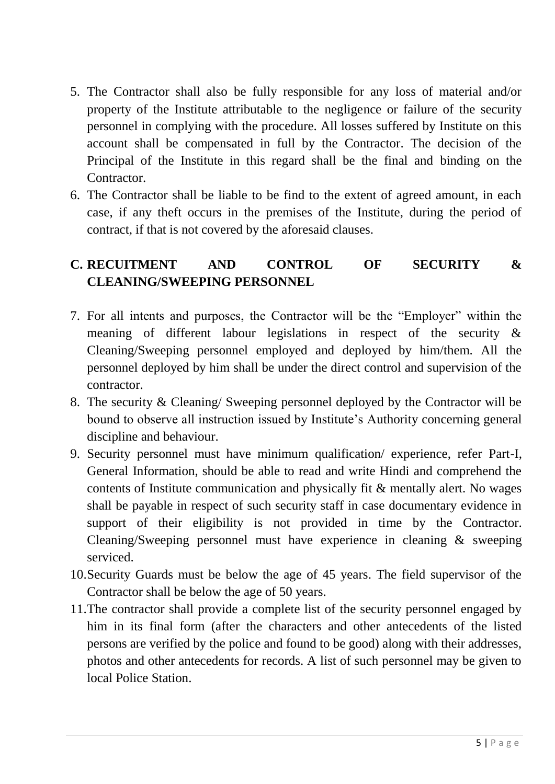- 5. The Contractor shall also be fully responsible for any loss of material and/or property of the Institute attributable to the negligence or failure of the security personnel in complying with the procedure. All losses suffered by Institute on this account shall be compensated in full by the Contractor. The decision of the Principal of the Institute in this regard shall be the final and binding on the Contractor.
- 6. The Contractor shall be liable to be find to the extent of agreed amount, in each case, if any theft occurs in the premises of the Institute, during the period of contract, if that is not covered by the aforesaid clauses.

# **C. RECUITMENT AND CONTROL OF SECURITY & CLEANING/SWEEPING PERSONNEL**

- 7. For all intents and purposes, the Contractor will be the "Employer" within the meaning of different labour legislations in respect of the security & Cleaning/Sweeping personnel employed and deployed by him/them. All the personnel deployed by him shall be under the direct control and supervision of the contractor.
- 8. The security & Cleaning/ Sweeping personnel deployed by the Contractor will be bound to observe all instruction issued by Institute's Authority concerning general discipline and behaviour.
- 9. Security personnel must have minimum qualification/ experience, refer Part-I, General Information, should be able to read and write Hindi and comprehend the contents of Institute communication and physically fit & mentally alert. No wages shall be payable in respect of such security staff in case documentary evidence in support of their eligibility is not provided in time by the Contractor. Cleaning/Sweeping personnel must have experience in cleaning & sweeping serviced.
- 10.Security Guards must be below the age of 45 years. The field supervisor of the Contractor shall be below the age of 50 years.
- 11.The contractor shall provide a complete list of the security personnel engaged by him in its final form (after the characters and other antecedents of the listed persons are verified by the police and found to be good) along with their addresses, photos and other antecedents for records. A list of such personnel may be given to local Police Station.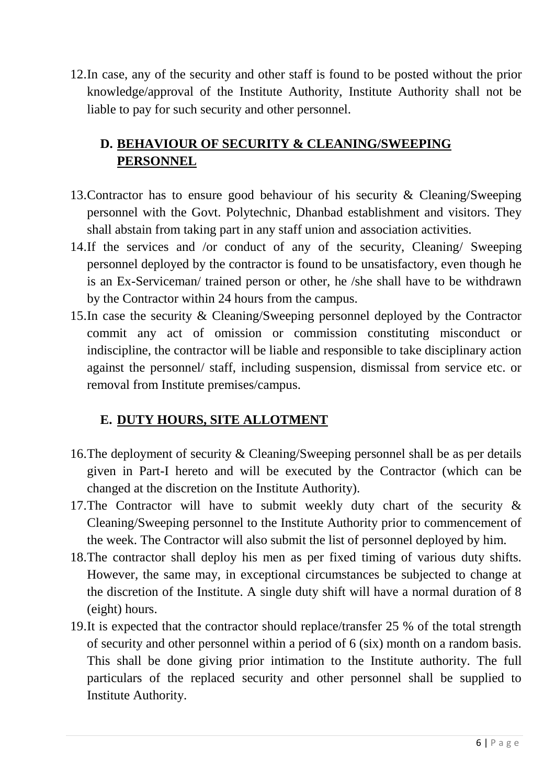12.In case, any of the security and other staff is found to be posted without the prior knowledge/approval of the Institute Authority, Institute Authority shall not be liable to pay for such security and other personnel.

# **D. BEHAVIOUR OF SECURITY & CLEANING/SWEEPING PERSONNEL**

- 13.Contractor has to ensure good behaviour of his security & Cleaning/Sweeping personnel with the Govt. Polytechnic, Dhanbad establishment and visitors. They shall abstain from taking part in any staff union and association activities.
- 14.If the services and /or conduct of any of the security, Cleaning/ Sweeping personnel deployed by the contractor is found to be unsatisfactory, even though he is an Ex-Serviceman/ trained person or other, he /she shall have to be withdrawn by the Contractor within 24 hours from the campus.
- 15.In case the security & Cleaning/Sweeping personnel deployed by the Contractor commit any act of omission or commission constituting misconduct or indiscipline, the contractor will be liable and responsible to take disciplinary action against the personnel/ staff, including suspension, dismissal from service etc. or removal from Institute premises/campus.

## **E. DUTY HOURS, SITE ALLOTMENT**

- 16.The deployment of security & Cleaning/Sweeping personnel shall be as per details given in Part-I hereto and will be executed by the Contractor (which can be changed at the discretion on the Institute Authority).
- 17.The Contractor will have to submit weekly duty chart of the security & Cleaning/Sweeping personnel to the Institute Authority prior to commencement of the week. The Contractor will also submit the list of personnel deployed by him.
- 18.The contractor shall deploy his men as per fixed timing of various duty shifts. However, the same may, in exceptional circumstances be subjected to change at the discretion of the Institute. A single duty shift will have a normal duration of 8 (eight) hours.
- 19.It is expected that the contractor should replace/transfer 25 % of the total strength of security and other personnel within a period of 6 (six) month on a random basis. This shall be done giving prior intimation to the Institute authority. The full particulars of the replaced security and other personnel shall be supplied to Institute Authority.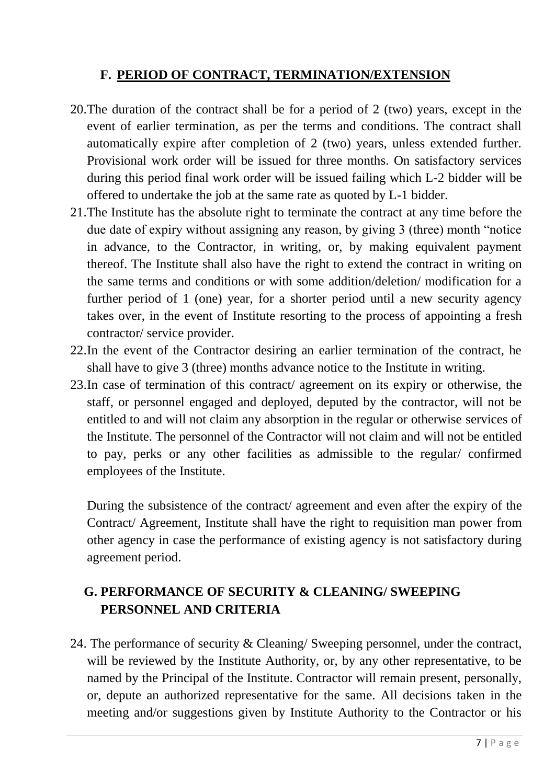## **F. PERIOD OF CONTRACT, TERMINATION/EXTENSION**

- 20.The duration of the contract shall be for a period of 2 (two) years, except in the event of earlier termination, as per the terms and conditions. The contract shall automatically expire after completion of 2 (two) years, unless extended further. Provisional work order will be issued for three months. On satisfactory services during this period final work order will be issued failing which L-2 bidder will be offered to undertake the job at the same rate as quoted by L-1 bidder.
- 21.The Institute has the absolute right to terminate the contract at any time before the due date of expiry without assigning any reason, by giving 3 (three) month "notice in advance, to the Contractor, in writing, or, by making equivalent payment thereof. The Institute shall also have the right to extend the contract in writing on the same terms and conditions or with some addition/deletion/ modification for a further period of 1 (one) year, for a shorter period until a new security agency takes over, in the event of Institute resorting to the process of appointing a fresh contractor/ service provider.
- 22.In the event of the Contractor desiring an earlier termination of the contract, he shall have to give 3 (three) months advance notice to the Institute in writing.
- 23.In case of termination of this contract/ agreement on its expiry or otherwise, the staff, or personnel engaged and deployed, deputed by the contractor, will not be entitled to and will not claim any absorption in the regular or otherwise services of the Institute. The personnel of the Contractor will not claim and will not be entitled to pay, perks or any other facilities as admissible to the regular/ confirmed employees of the Institute.

During the subsistence of the contract/ agreement and even after the expiry of the Contract/ Agreement, Institute shall have the right to requisition man power from other agency in case the performance of existing agency is not satisfactory during agreement period.

# **G. PERFORMANCE OF SECURITY & CLEANING/ SWEEPING PERSONNEL AND CRITERIA**

24. The performance of security & Cleaning/ Sweeping personnel, under the contract, will be reviewed by the Institute Authority, or, by any other representative, to be named by the Principal of the Institute. Contractor will remain present, personally, or, depute an authorized representative for the same. All decisions taken in the meeting and/or suggestions given by Institute Authority to the Contractor or his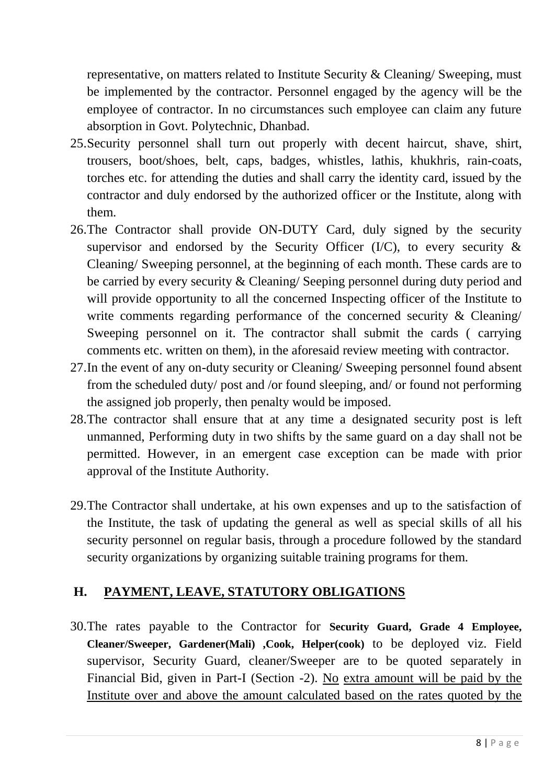representative, on matters related to Institute Security & Cleaning/ Sweeping, must be implemented by the contractor. Personnel engaged by the agency will be the employee of contractor. In no circumstances such employee can claim any future absorption in Govt. Polytechnic, Dhanbad.

- 25.Security personnel shall turn out properly with decent haircut, shave, shirt, trousers, boot/shoes, belt, caps, badges, whistles, lathis, khukhris, rain-coats, torches etc. for attending the duties and shall carry the identity card, issued by the contractor and duly endorsed by the authorized officer or the Institute, along with them.
- 26.The Contractor shall provide ON-DUTY Card, duly signed by the security supervisor and endorsed by the Security Officer (I/C), to every security  $\&$ Cleaning/ Sweeping personnel, at the beginning of each month. These cards are to be carried by every security & Cleaning/ Seeping personnel during duty period and will provide opportunity to all the concerned Inspecting officer of the Institute to write comments regarding performance of the concerned security  $\&$  Cleaning/ Sweeping personnel on it. The contractor shall submit the cards ( carrying comments etc. written on them), in the aforesaid review meeting with contractor.
- 27.In the event of any on-duty security or Cleaning/ Sweeping personnel found absent from the scheduled duty/ post and /or found sleeping, and/ or found not performing the assigned job properly, then penalty would be imposed.
- 28.The contractor shall ensure that at any time a designated security post is left unmanned, Performing duty in two shifts by the same guard on a day shall not be permitted. However, in an emergent case exception can be made with prior approval of the Institute Authority.
- 29.The Contractor shall undertake, at his own expenses and up to the satisfaction of the Institute, the task of updating the general as well as special skills of all his security personnel on regular basis, through a procedure followed by the standard security organizations by organizing suitable training programs for them.

## **H. PAYMENT, LEAVE, STATUTORY OBLIGATIONS**

30.The rates payable to the Contractor for **Security Guard, Grade 4 Employee, Cleaner/Sweeper, Gardener(Mali) ,Cook, Helper(cook)** to be deployed viz. Field supervisor, Security Guard, cleaner/Sweeper are to be quoted separately in Financial Bid, given in Part-I (Section -2). No extra amount will be paid by the Institute over and above the amount calculated based on the rates quoted by the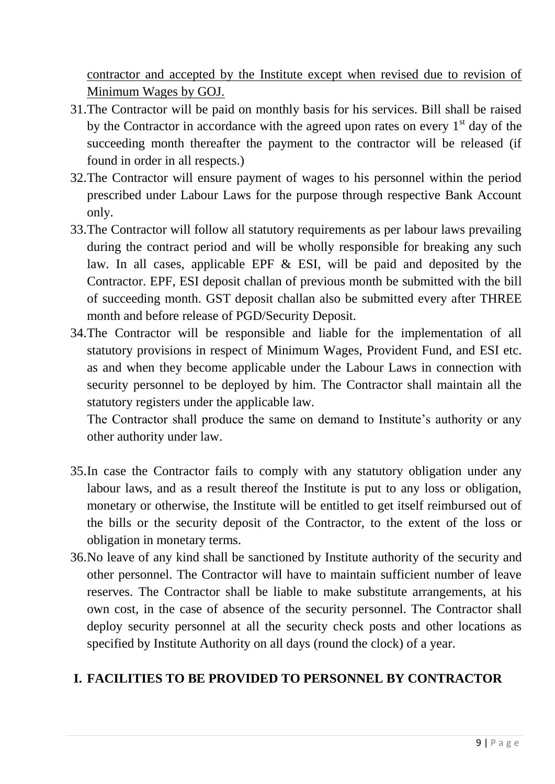contractor and accepted by the Institute except when revised due to revision of Minimum Wages by GOJ.

- 31.The Contractor will be paid on monthly basis for his services. Bill shall be raised by the Contractor in accordance with the agreed upon rates on every  $1<sup>st</sup>$  day of the succeeding month thereafter the payment to the contractor will be released (if found in order in all respects.)
- 32.The Contractor will ensure payment of wages to his personnel within the period prescribed under Labour Laws for the purpose through respective Bank Account only.
- 33.The Contractor will follow all statutory requirements as per labour laws prevailing during the contract period and will be wholly responsible for breaking any such law. In all cases, applicable EPF & ESI, will be paid and deposited by the Contractor. EPF, ESI deposit challan of previous month be submitted with the bill of succeeding month. GST deposit challan also be submitted every after THREE month and before release of PGD/Security Deposit.
- 34.The Contractor will be responsible and liable for the implementation of all statutory provisions in respect of Minimum Wages, Provident Fund, and ESI etc. as and when they become applicable under the Labour Laws in connection with security personnel to be deployed by him. The Contractor shall maintain all the statutory registers under the applicable law.

The Contractor shall produce the same on demand to Institute's authority or any other authority under law.

- 35.In case the Contractor fails to comply with any statutory obligation under any labour laws, and as a result thereof the Institute is put to any loss or obligation, monetary or otherwise, the Institute will be entitled to get itself reimbursed out of the bills or the security deposit of the Contractor, to the extent of the loss or obligation in monetary terms.
- 36.No leave of any kind shall be sanctioned by Institute authority of the security and other personnel. The Contractor will have to maintain sufficient number of leave reserves. The Contractor shall be liable to make substitute arrangements, at his own cost, in the case of absence of the security personnel. The Contractor shall deploy security personnel at all the security check posts and other locations as specified by Institute Authority on all days (round the clock) of a year.

## **I. FACILITIES TO BE PROVIDED TO PERSONNEL BY CONTRACTOR**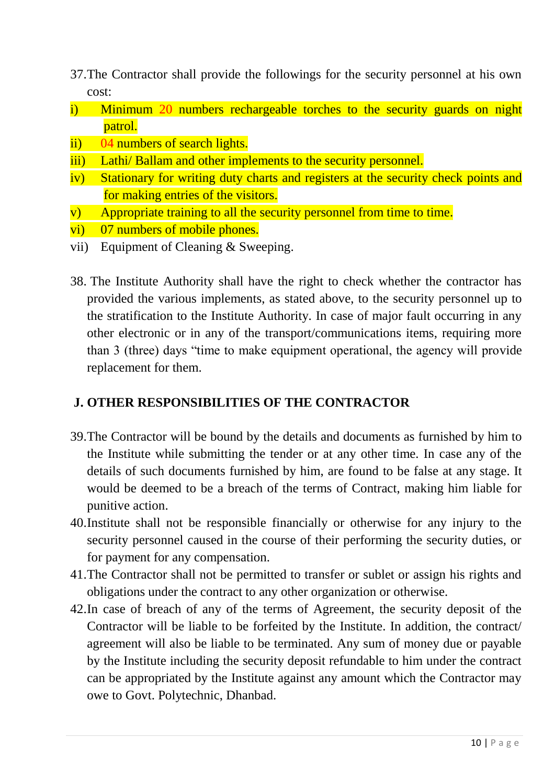- 37.The Contractor shall provide the followings for the security personnel at his own cost:
- i) Minimum 20 numbers rechargeable torches to the security guards on night patrol.
- ii) 04 numbers of search lights.
- iii) Lathi/ Ballam and other implements to the security personnel.
- iv) Stationary for writing duty charts and registers at the security check points and for making entries of the visitors.
- v) Appropriate training to all the security personnel from time to time.
- vi) 07 numbers of mobile phones.
- vii) Equipment of Cleaning & Sweeping.
- 38. The Institute Authority shall have the right to check whether the contractor has provided the various implements, as stated above, to the security personnel up to the stratification to the Institute Authority. In case of major fault occurring in any other electronic or in any of the transport/communications items, requiring more than 3 (three) days "time to make equipment operational, the agency will provide replacement for them.

## **J. OTHER RESPONSIBILITIES OF THE CONTRACTOR**

- 39.The Contractor will be bound by the details and documents as furnished by him to the Institute while submitting the tender or at any other time. In case any of the details of such documents furnished by him, are found to be false at any stage. It would be deemed to be a breach of the terms of Contract, making him liable for punitive action.
- 40.Institute shall not be responsible financially or otherwise for any injury to the security personnel caused in the course of their performing the security duties, or for payment for any compensation.
- 41.The Contractor shall not be permitted to transfer or sublet or assign his rights and obligations under the contract to any other organization or otherwise.
- 42.In case of breach of any of the terms of Agreement, the security deposit of the Contractor will be liable to be forfeited by the Institute. In addition, the contract/ agreement will also be liable to be terminated. Any sum of money due or payable by the Institute including the security deposit refundable to him under the contract can be appropriated by the Institute against any amount which the Contractor may owe to Govt. Polytechnic, Dhanbad.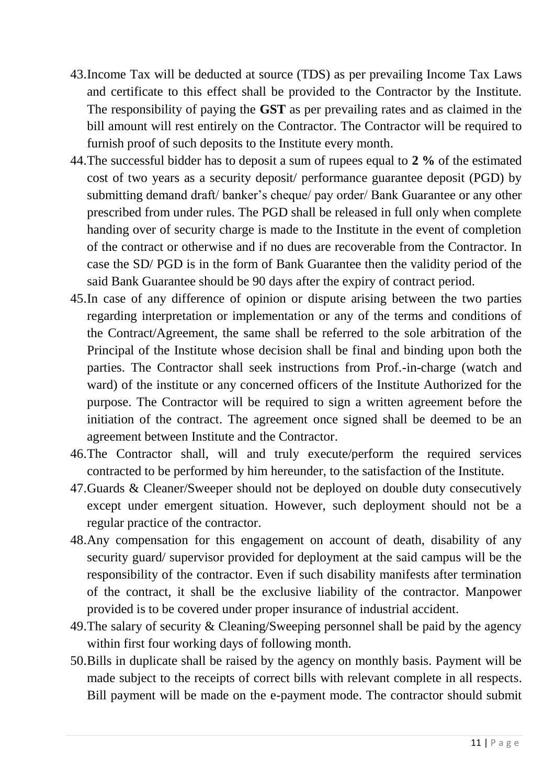- 43.Income Tax will be deducted at source (TDS) as per prevailing Income Tax Laws and certificate to this effect shall be provided to the Contractor by the Institute. The responsibility of paying the **GST** as per prevailing rates and as claimed in the bill amount will rest entirely on the Contractor. The Contractor will be required to furnish proof of such deposits to the Institute every month.
- 44.The successful bidder has to deposit a sum of rupees equal to **2 %** of the estimated cost of two years as a security deposit/ performance guarantee deposit (PGD) by submitting demand draft/ banker's cheque/ pay order/ Bank Guarantee or any other prescribed from under rules. The PGD shall be released in full only when complete handing over of security charge is made to the Institute in the event of completion of the contract or otherwise and if no dues are recoverable from the Contractor. In case the SD/ PGD is in the form of Bank Guarantee then the validity period of the said Bank Guarantee should be 90 days after the expiry of contract period.
- 45.In case of any difference of opinion or dispute arising between the two parties regarding interpretation or implementation or any of the terms and conditions of the Contract/Agreement, the same shall be referred to the sole arbitration of the Principal of the Institute whose decision shall be final and binding upon both the parties. The Contractor shall seek instructions from Prof.-in-charge (watch and ward) of the institute or any concerned officers of the Institute Authorized for the purpose. The Contractor will be required to sign a written agreement before the initiation of the contract. The agreement once signed shall be deemed to be an agreement between Institute and the Contractor.
- 46.The Contractor shall, will and truly execute/perform the required services contracted to be performed by him hereunder, to the satisfaction of the Institute.
- 47.Guards & Cleaner/Sweeper should not be deployed on double duty consecutively except under emergent situation. However, such deployment should not be a regular practice of the contractor.
- 48.Any compensation for this engagement on account of death, disability of any security guard/ supervisor provided for deployment at the said campus will be the responsibility of the contractor. Even if such disability manifests after termination of the contract, it shall be the exclusive liability of the contractor. Manpower provided is to be covered under proper insurance of industrial accident.
- 49.The salary of security & Cleaning/Sweeping personnel shall be paid by the agency within first four working days of following month.
- 50.Bills in duplicate shall be raised by the agency on monthly basis. Payment will be made subject to the receipts of correct bills with relevant complete in all respects. Bill payment will be made on the e-payment mode. The contractor should submit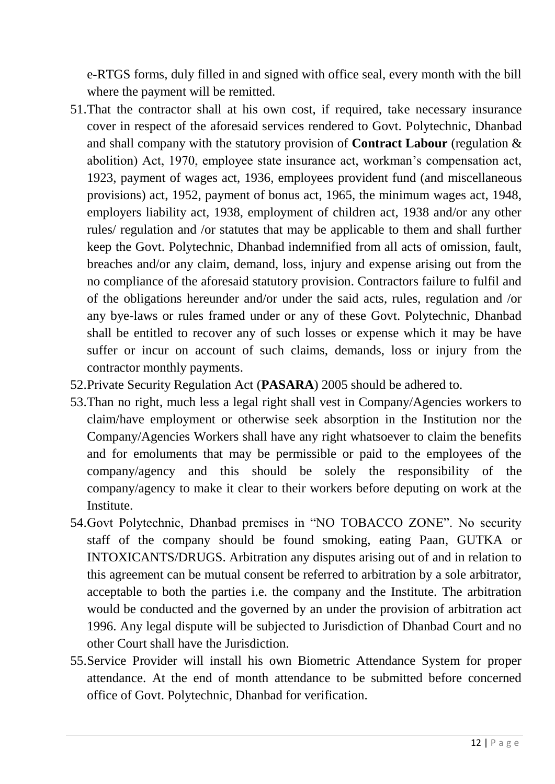e-RTGS forms, duly filled in and signed with office seal, every month with the bill where the payment will be remitted.

- 51.That the contractor shall at his own cost, if required, take necessary insurance cover in respect of the aforesaid services rendered to Govt. Polytechnic, Dhanbad and shall company with the statutory provision of **Contract Labour** (regulation & abolition) Act, 1970, employee state insurance act, workman's compensation act, 1923, payment of wages act, 1936, employees provident fund (and miscellaneous provisions) act, 1952, payment of bonus act, 1965, the minimum wages act, 1948, employers liability act, 1938, employment of children act, 1938 and/or any other rules/ regulation and /or statutes that may be applicable to them and shall further keep the Govt. Polytechnic, Dhanbad indemnified from all acts of omission, fault, breaches and/or any claim, demand, loss, injury and expense arising out from the no compliance of the aforesaid statutory provision. Contractors failure to fulfil and of the obligations hereunder and/or under the said acts, rules, regulation and /or any bye-laws or rules framed under or any of these Govt. Polytechnic, Dhanbad shall be entitled to recover any of such losses or expense which it may be have suffer or incur on account of such claims, demands, loss or injury from the contractor monthly payments.
- 52.Private Security Regulation Act (**PASARA**) 2005 should be adhered to.
- 53.Than no right, much less a legal right shall vest in Company/Agencies workers to claim/have employment or otherwise seek absorption in the Institution nor the Company/Agencies Workers shall have any right whatsoever to claim the benefits and for emoluments that may be permissible or paid to the employees of the company/agency and this should be solely the responsibility of the company/agency to make it clear to their workers before deputing on work at the Institute.
- 54.Govt Polytechnic, Dhanbad premises in "NO TOBACCO ZONE". No security staff of the company should be found smoking, eating Paan, GUTKA or INTOXICANTS/DRUGS. Arbitration any disputes arising out of and in relation to this agreement can be mutual consent be referred to arbitration by a sole arbitrator, acceptable to both the parties i.e. the company and the Institute. The arbitration would be conducted and the governed by an under the provision of arbitration act 1996. Any legal dispute will be subjected to Jurisdiction of Dhanbad Court and no other Court shall have the Jurisdiction.
- 55.Service Provider will install his own Biometric Attendance System for proper attendance. At the end of month attendance to be submitted before concerned office of Govt. Polytechnic, Dhanbad for verification.